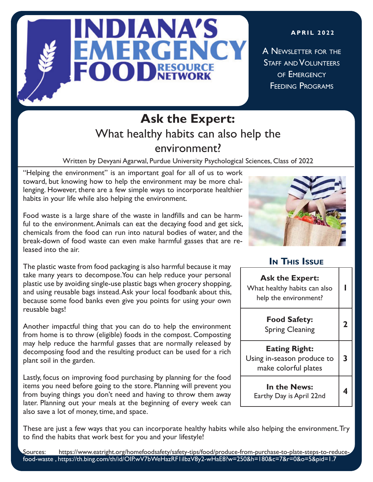

**APRIL 2022**

A NEWSLETTER FOR THE STAFF AND **VOLUNTEERS** OF EMFRGENCY Feeding Programs

# **Ask the Expert:** What healthy habits can also help the environment?

Written by Devyani Agarwal, Purdue University Psychological Sciences, Class of 2022

"Helping the environment" is an important goal for all of us to work toward, but knowing how to help the environment may be more challenging. However, there are a few simple ways to incorporate healthier habits in your life while also helping the environment.

Food waste is a large share of the waste in landfills and can be harmful to the environment. Animals can eat the decaying food and get sick, chemicals from the food can run into natural bodies of water, and the break-down of food waste can even make harmful gasses that are released into the air.

The plastic waste from food packaging is also harmful because it may take many years to decompose.You can help reduce your personal plastic use by avoiding single-use plastic bags when grocery shopping, and using reusable bags instead. Ask your local foodbank about this, because some food banks even give you points for using your own reusable bags!

Another impactful thing that you can do to help the environment from home is to throw (eligible) foods in the compost. Composting may help reduce the harmful gasses that are normally released by decomposing food and the resulting product can be used for a rich plant soil in the garden.

Lastly, focus on improving food purchasing by planning for the food items you need before going to the store. Planning will prevent you from buying things you don't need and having to throw them away later. Planning out your meals at the beginning of every week can also save a lot of money, time, and space.



### **In This Issue**

| <b>Ask the Expert:</b><br>What healthy habits can also<br>help the environment? |   |
|---------------------------------------------------------------------------------|---|
| <b>Food Safety:</b><br><b>Spring Cleaning</b>                                   | 2 |
| <b>Eating Right:</b><br>Using in-season produce to<br>make colorful plates      | 3 |
| In the News:<br>Earthy Day is April 22nd                                        |   |

These are just a few ways that you can incorporate healthy habits while also helping the environment. Try to find the habits that work best for you and your lifestyle!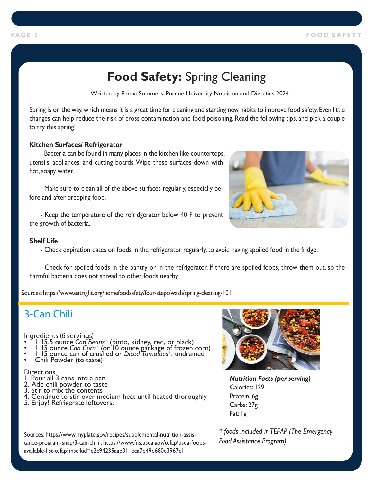# **Food Safety:** Spring Cleaning

Written by Emma Sommers, Purdue University Nutrition and Dietetics 2024

Spring is on the way, which means it is a great time for cleaning and starting new habits to improve food safety. Even little changes can help reduce the risk of cross contamination and food poisoning. Read the following tips, and pick a couple to try this spring!

#### **Kitchen Surfaces/ Refrigerator**

- Bacteria can be found in many places in the kitchen like countertops, utensils, appliances, and cutting boards. Wipe these surfaces down with hot, soapy water.

- Make sure to clean all of the above surfaces regularly, especially before and after prepping food.

- Keep the temperature of the refridgerator below 40 F to prevent the growth of bacteria.

#### **Shelf Life**

- Check expiration dates on foods in the refrigerator regularly, to avoid having spoiled food in the fridge.

- Check for spoiled foods in the pantry or in the refrigerator. If there are spoiled foods, throw them out, so the harmful bacteria does not spread to other foods nearby.

Sources: https://www.eatright.org/homefoodsafety/four-steps/wash/spring-cleaning-101

## 3-Can Chili

Ingredients (6 servings)

- 
- 1 15.5 ounce *Can Beans*\* (pinto, kidney, red, or black) 1 15 ounce *Can Corn*\* (or 10 ounce package of frozen corn) 1 15 ounce can of crushed or *Diced Tomatoes*\*, undrained Chili Powder (to taste)
- 
- 

#### **Directions**

- 1. Pour all 3 cans into a pan
- 2. Add chili powder to taste
- 3. Stir to mix the contents
- 4. Continue to stir over medium heat until heated thoroughly
- 5. Enjoy! Refrigerate leftovers.



*Nutrition Facts (per serving)* Calories: 129 Protein: 6g Carbs: 27g Fat: 1g

*\* foods included in TEFAP (The Emergency Food Assistance Program)* 



Sources: https://www.myplate.gov/recipes/supplemental-nutrition-assistance-program-snap/3-can-chili , https://www.fns.usda.gov/tefap/usda-foodsavailable-list-tefap?msclkid=e2c94235aab011eca7d49d680e3967c1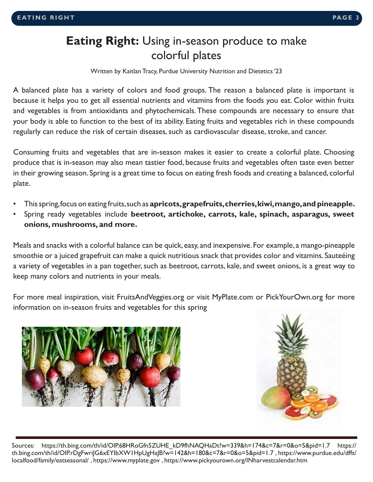## **Eating Right:** Using in-season produce to make colorful plates

Written by Kaitlan Tracy, Purdue University Nutrition and Dietetics '23

A balanced plate has a variety of colors and food groups. The reason a balanced plate is important is because it helps you to get all essential nutrients and vitamins from the foods you eat. Color within fruits and vegetables is from antioxidants and phytochemicals. These compounds are necessary to ensure that your body is able to function to the best of its ability. Eating fruits and vegetables rich in these compounds regularly can reduce the risk of certain diseases, such as cardiovascular disease, stroke, and cancer.

Consuming fruits and vegetables that are in-season makes it easier to create a colorful plate. Choosing produce that is in-season may also mean tastier food, because fruits and vegetables often taste even better in their growing season. Spring is a great time to focus on eating fresh foods and creating a balanced, colorful plate.

- This spring, focus on eating fruits, such as **apricots, grapefruits, cherries, kiwi, mango, and pineapple.**
- Spring ready vegetables include **beetroot, artichoke, carrots, kale, spinach, asparagus, sweet onions, mushrooms, and more.**

Meals and snacks with a colorful balance can be quick, easy, and inexpensive. For example, a mango-pineapple smoothie or a juiced grapefruit can make a quick nutritious snack that provides color and vitamins. Sauteéing a variety of vegetables in a pan together, such as beetroot, carrots, kale, and sweet onions, is a great way to keep many colors and nutrients in your meals.

For more meal inspiration, visit FruitsAndVeggies.org or visit MyPlate.com or PickYourOwn.org for more information on in-season fruits and vegetables for this spring





Sources: https://th.bing.com/th/id/OIP.68HRoGfn5ZUHE\_kD9fhNAQHaDt?w=339&h=174&c=7&r=0&o=5&pid=1.7 https:// th.bing.com/th/id/OIP.rDgFwriJG6xEYIbXW1HpUgHaJB?w=142&h=180&c=7&r=0&o=5&pid=1.7 , https://www.purdue.edu/dffs/ localfood/family/eatseasonal/ , https://www.myplate.gov , https://www.pickyourown.org/INharvestcalendar.htm